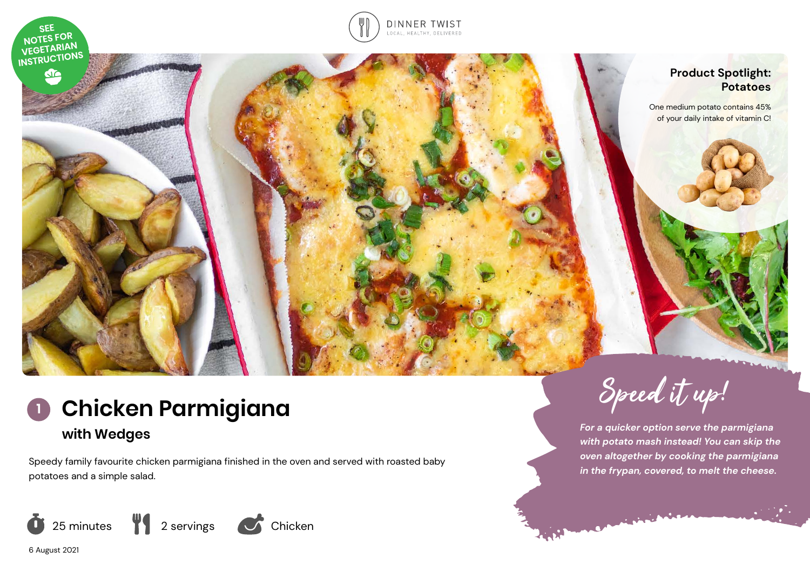

do



# **Product Spotlight: Potatoes**

One medium potato contains 45% of your daily intake of vitamin C!



Speedy family favourite chicken parmigiana finished in the oven and served with roasted baby potatoes and a simple salad.





*For a quicker option serve the parmigiana with potato mash instead! You can skip the oven altogether by cooking the parmigiana in the frypan, covered, to melt the cheese.* 

6 August 2021